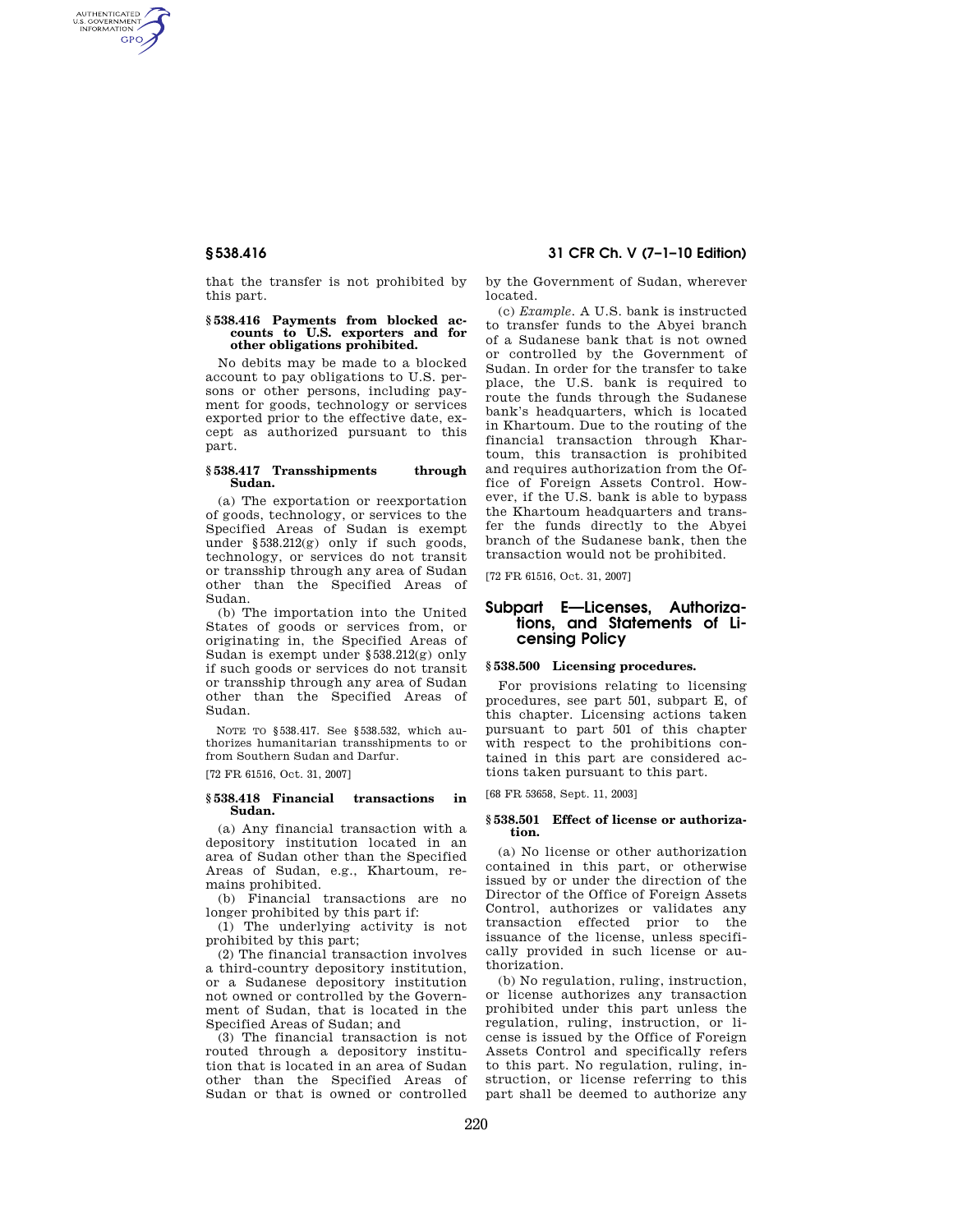AUTHENTICATED<br>U.S. GOVERNMENT<br>INFORMATION **GPO** 

> that the transfer is not prohibited by this part.

#### **§ 538.416 Payments from blocked accounts to U.S. exporters and for other obligations prohibited.**

No debits may be made to a blocked account to pay obligations to U.S. persons or other persons, including payment for goods, technology or services exported prior to the effective date, except as authorized pursuant to this part.

#### **§ 538.417 Transshipments through Sudan.**

(a) The exportation or reexportation of goods, technology, or services to the Specified Areas of Sudan is exempt under §538.212(g) only if such goods, technology, or services do not transit or transship through any area of Sudan other than the Specified Areas of Sudan.

(b) The importation into the United States of goods or services from, or originating in, the Specified Areas of Sudan is exempt under §538.212(g) only if such goods or services do not transit or transship through any area of Sudan other than the Specified Areas of Sudan.

NOTE TO §538.417. See §538.532, which authorizes humanitarian transshipments to or from Southern Sudan and Darfur.

[72 FR 61516, Oct. 31, 2007]

### **§ 538.418 Financial transactions in Sudan.**

(a) Any financial transaction with a depository institution located in an area of Sudan other than the Specified Areas of Sudan, e.g., Khartoum, remains prohibited.

(b) Financial transactions are no longer prohibited by this part if:

(1) The underlying activity is not prohibited by this part;

(2) The financial transaction involves a third-country depository institution, or a Sudanese depository institution not owned or controlled by the Government of Sudan, that is located in the Specified Areas of Sudan; and

(3) The financial transaction is not routed through a depository institution that is located in an area of Sudan other than the Specified Areas of Sudan or that is owned or controlled

## **§ 538.416 31 CFR Ch. V (7–1–10 Edition)**

by the Government of Sudan, wherever located.

(c) *Example.* A U.S. bank is instructed to transfer funds to the Abyei branch of a Sudanese bank that is not owned or controlled by the Government of Sudan. In order for the transfer to take place, the U.S. bank is required to route the funds through the Sudanese bank's headquarters, which is located in Khartoum. Due to the routing of the financial transaction through Khartoum, this transaction is prohibited and requires authorization from the Office of Foreign Assets Control. However, if the U.S. bank is able to bypass the Khartoum headquarters and transfer the funds directly to the Abyei branch of the Sudanese bank, then the transaction would not be prohibited.

[72 FR 61516, Oct. 31, 2007]

## **Subpart E—Licenses, Authorizations, and Statements of Licensing Policy**

# **§ 538.500 Licensing procedures.**

For provisions relating to licensing procedures, see part 501, subpart E, of this chapter. Licensing actions taken pursuant to part 501 of this chapter with respect to the prohibitions contained in this part are considered actions taken pursuant to this part.

[68 FR 53658, Sept. 11, 2003]

#### **§ 538.501 Effect of license or authorization.**

(a) No license or other authorization contained in this part, or otherwise issued by or under the direction of the Director of the Office of Foreign Assets Control, authorizes or validates any transaction effected prior to the issuance of the license, unless specifically provided in such license or authorization.

(b) No regulation, ruling, instruction, or license authorizes any transaction prohibited under this part unless the regulation, ruling, instruction, or license is issued by the Office of Foreign Assets Control and specifically refers to this part. No regulation, ruling, instruction, or license referring to this part shall be deemed to authorize any